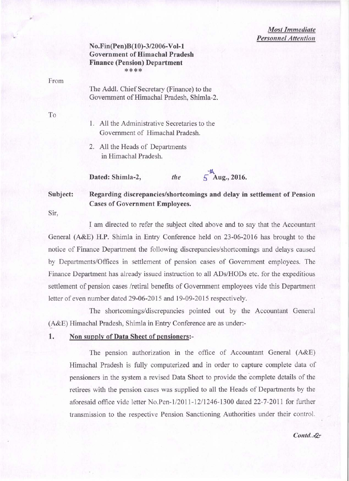*Most Immediate Personnel Attention* 

### No.Fin(Pen)B(10)-3/2006-Vol-1 Government of Himachal Pradesh Finance (Pension) Department \*\*\*\*

From

The Addl. Chief Secretary (Finance) to the Government of Himachal Pradesh, Shimla-2.

To

1. All the Administrative Secretaries to the Government of Himachal Pradesh.

2. All the Heads of Departments in Himachal Pradesh.

Dated: Shimla-2, *the* 

 $5\frac{h}{\text{Aug.}}$ , 2016.

Subject: Regarding discrepancies/shortcomings and delay in settlement of Pension Cases of Government Employees.

Sir,

I am directed to refer the subject cited above and to say that the Accountant General (A&E) H.P. Shimla in Entry Conference held on 23-06-2016 has brought to the notice of Finance Department the following discrepancies/shortcomings and delays caused by Departments/Offices in settlement of pension cases of Government employees. The Finance Department has already issued instruction to all ADs/HODs etc. for the expeditious settlement of pension cases /retiral benefits of Government employees vide this Department letter of even number dated 29-06-2015 and 19-09-2015 respectively.

The shortcomings/discrepancies pointed out by the Accountant General (A&E) Himachal Pradesh, Shimla in Entry Conference are as under:-

## 1. Non supply of Data Sheet of pensioners:-

The pension authorization in the office of Accountant General (A&E) Himachal Pradesh is fully computerized and in order to capture complete data of pensioners in the system a revised Data Sheet to provide the complete details of the retirees with the pension cases was supplied to all the Heads of Departments by the aforesaid office vide letter No.Pen-l/2011-1211246-1300 dated 22-7-2011 for further transmission to the respective Pension Sanctioning Authorities under their control.

Contd ...-2:-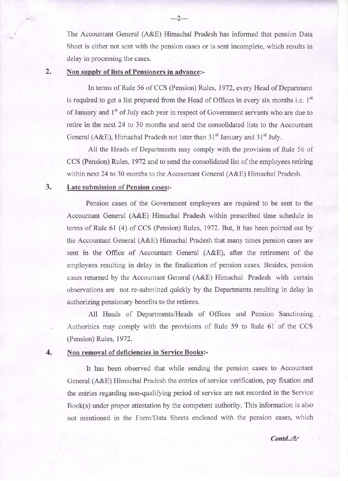The Accountant General (A&E) Himachal Pradesh has informed that pension Data Sheet is either not sent with the pension cases or is sent incomplete, which results in delay in processing the cases.

#### 2. Non supply of lists of Pensioners in advance:-

In terms of Rule 56 of CCS (Pension) Rules, 1972, every Head of Department is required to get a list prepared from the Head of Offices in every six months i.e.  $1<sup>st</sup>$ of January and 1<sup>st</sup> of July each year in respect of Government servants who are due to retire in the next 24 to 30, months and send the consolidated lists to the Accountant General (A&E), Himachal Pradesh not later than  $31<sup>st</sup>$  January and  $31<sup>st</sup>$  July.

All the Heads of Departments may comply with the provision of Rule 56 of CCS (Pension) Rules, 1972 and to send the consolidated list of the employees retiring within next 24 to 30 months to the Accountant General (A&E) Himachal Pradesh.

## 3. Late submission of Pension cases:-

Pension cases of the Government employees are required to be sent to the Accountant General (A&E) Himachal Pradesh within prescribed time schedule in terms of Rule  $61$  (4) of CCS (Pension) Rules, 1972. But, it has been pointed out by the Accountant General (A&E) Himachal Pradesh that many times pension cases are sent in the Office of Accountant General (A&E), after the retirement of the employees resulting in delay in the finalization of pension cases. Besides, pension cases returned by the Accountant General (A&E) Himachal Pradesh with certain observations are not re-submitted quickly by the Departments resulting in delay in authorizing pensionary benefits to the retirees.

All Heads of Departments/Heads of Offices and Pension Sanctioning Authorities may comply with the provisions of Rule 59 to Rule 61 of the CCS (Pension) Rules, 1972.

#### 4. Non removal of deficiencies in Service Books:-

It has been observed that while sending the pension cases to Accountant General (A&E) Himachal Pradesh the entries of service verification, pay fixation and the entries regarding non-qualifying period of service are not recorded in the Service Book(s) under proper attestation by the competent authority. This information is also not mentioned in the Form/Data Sheets enclosed with the pension cases, which

#### -2-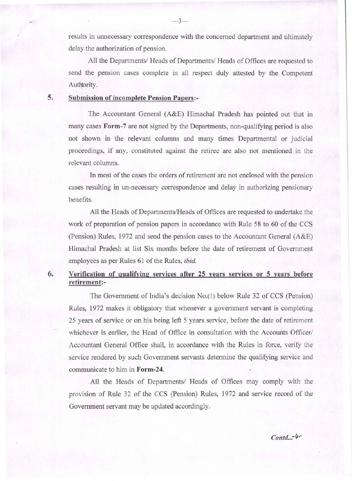results in unnecessary correspondence with the concerned department and ultimately delay the authorization of pension.

All the Departments/ Heads of Departments/ Heads of Offices are requested to send the pension cases complete in all respect duly attested by the Competent Authority.

## 5. Submission of incomplete Pension Papers:-

The Accountant General (A&E) Himachal Pradesh has pointed out that in many cases **Form-7** are not signed by the Departments, non-qualifying period is also not shown in the relevant columns and many times Departmental or judicial proceedings, if any, constituted against the retiree are also not mentioned in the relevant columns.

In most of the cases the orders of retirement are not enclosed with the pension cases resulting in un-necessary correspondence and delay in authorizing pensionary benefits.

All the Heads of Departments/Heads of Offices are requested to undertake the work of preparation of pension papers in accordance with Rule 58 to 60 of the CCS (Pension) Rules, 1972 and send the pension cases to the Accountant General (A&E) Himachal Pradesh at list Six months before the date of retirement of Government employees as per Rules 61 of the Rules, *ibid.* 

# 6. Verification of qualifying services after 25 years services or 5 years before retirement:-

The Government of India's decision No.(1) below Rule 32 of CCS (Pension) Rules, 1972 makes it obligatory that whenever a government servant is completing 25 years of service or on his being left 5 years service, before the date of retirement whichever is earlier, the Head of Office in consultation with the Accounts Officer/ Accountant General Office shall, in accordance with the Rules in force, verify the service rendered by such Government servants determine the qualifying service and communicate to him in Form-24 .

. All the Heads of Departments/ Heads of Offices may comply with the provision of Rule 32 of the CCS (Pension) Rules, 1972 and service record of the Government servant may be updated accordingly.

Contd...-4-